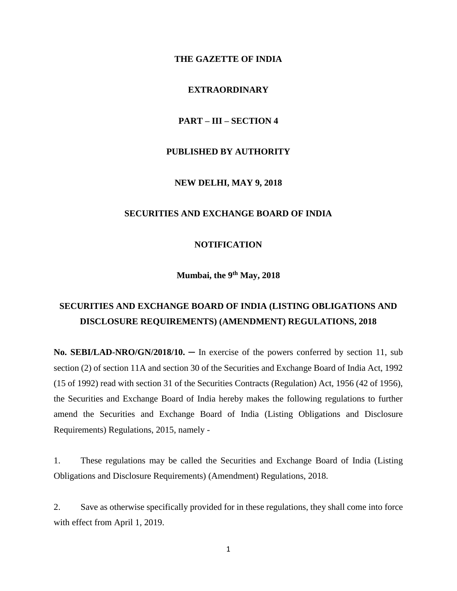#### **THE GAZETTE OF INDIA**

## **EXTRAORDINARY**

#### **PART – III – SECTION 4**

## **PUBLISHED BY AUTHORITY**

#### **NEW DELHI, MAY 9, 2018**

## **SECURITIES AND EXCHANGE BOARD OF INDIA**

#### **NOTIFICATION**

**Mumbai, the 9 th May, 2018**

# **SECURITIES AND EXCHANGE BOARD OF INDIA (LISTING OBLIGATIONS AND DISCLOSURE REQUIREMENTS) (AMENDMENT) REGULATIONS, 2018**

**No. SEBI/LAD-NRO/GN/2018/10. ─** In exercise of the powers conferred by section 11, sub section (2) of section 11A and section 30 of the Securities and Exchange Board of India Act, 1992 (15 of 1992) read with section 31 of the Securities Contracts (Regulation) Act, 1956 (42 of 1956), the Securities and Exchange Board of India hereby makes the following regulations to further amend the Securities and Exchange Board of India (Listing Obligations and Disclosure Requirements) Regulations, 2015, namely -

1. These regulations may be called the Securities and Exchange Board of India (Listing Obligations and Disclosure Requirements) (Amendment) Regulations, 2018.

2. Save as otherwise specifically provided for in these regulations, they shall come into force with effect from April 1, 2019.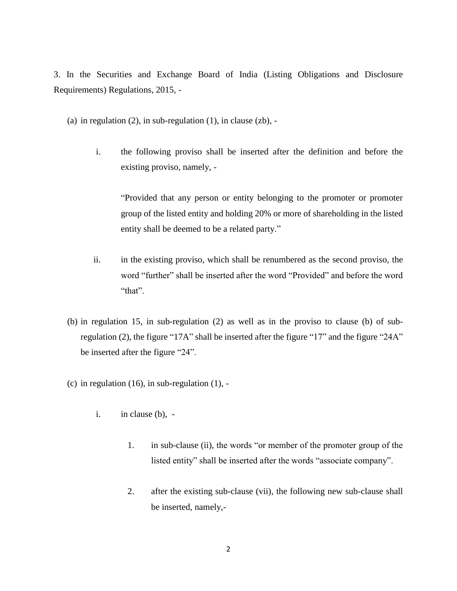3. In the Securities and Exchange Board of India (Listing Obligations and Disclosure Requirements) Regulations, 2015, -

(a) in regulation  $(2)$ , in sub-regulation  $(1)$ , in clause  $(zb)$ , -

i. the following proviso shall be inserted after the definition and before the existing proviso, namely, -

"Provided that any person or entity belonging to the promoter or promoter group of the listed entity and holding 20% or more of shareholding in the listed entity shall be deemed to be a related party."

- ii. in the existing proviso, which shall be renumbered as the second proviso, the word "further" shall be inserted after the word "Provided" and before the word "that".
- (b) in regulation 15, in sub-regulation (2) as well as in the proviso to clause (b) of subregulation (2), the figure "17A" shall be inserted after the figure "17" and the figure "24A" be inserted after the figure "24".
- (c) in regulation  $(16)$ , in sub-regulation  $(1)$ ,
	- i. in clause (b),
		- 1. in sub-clause (ii), the words "or member of the promoter group of the listed entity" shall be inserted after the words "associate company".
		- 2. after the existing sub-clause (vii), the following new sub-clause shall be inserted, namely,-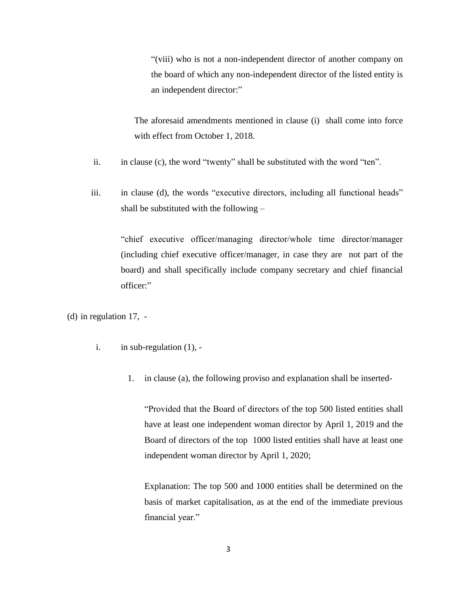"(viii) who is not a non-independent director of another company on the board of which any non-independent director of the listed entity is an independent director:"

The aforesaid amendments mentioned in clause (i) shall come into force with effect from October 1, 2018.

- ii. in clause (c), the word "twenty" shall be substituted with the word "ten".
- iii. in clause (d), the words "executive directors, including all functional heads" shall be substituted with the following –

"chief executive officer/managing director/whole time director/manager (including chief executive officer/manager, in case they are not part of the board) and shall specifically include company secretary and chief financial officer:"

(d) in regulation 17, -

- i. in sub-regulation (1),
	- 1. in clause (a), the following proviso and explanation shall be inserted-

"Provided that the Board of directors of the top 500 listed entities shall have at least one independent woman director by April 1, 2019 and the Board of directors of the top 1000 listed entities shall have at least one independent woman director by April 1, 2020;

Explanation: The top 500 and 1000 entities shall be determined on the basis of market capitalisation, as at the end of the immediate previous financial year."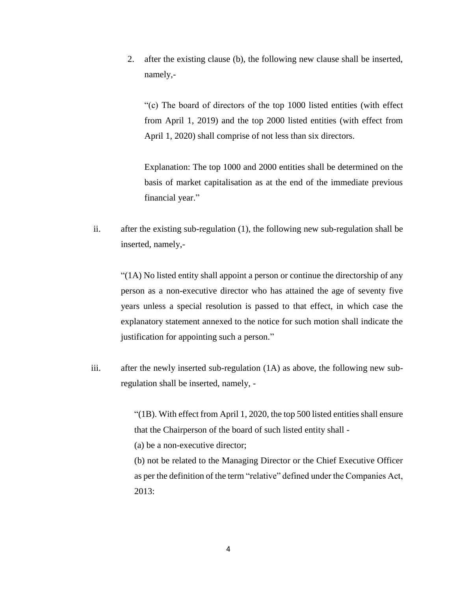2. after the existing clause (b), the following new clause shall be inserted, namely,-

"(c) The board of directors of the top 1000 listed entities (with effect from April 1, 2019) and the top 2000 listed entities (with effect from April 1, 2020) shall comprise of not less than six directors.

Explanation: The top 1000 and 2000 entities shall be determined on the basis of market capitalisation as at the end of the immediate previous financial year."

ii. after the existing sub-regulation (1), the following new sub-regulation shall be inserted, namely,-

 $(1)$  No listed entity shall appoint a person or continue the directorship of any person as a non-executive director who has attained the age of seventy five years unless a special resolution is passed to that effect, in which case the explanatory statement annexed to the notice for such motion shall indicate the justification for appointing such a person."

iii. after the newly inserted sub-regulation (1A) as above, the following new subregulation shall be inserted, namely, -

> "(1B). With effect from April 1, 2020, the top 500 listed entities shall ensure that the Chairperson of the board of such listed entity shall - (a) be a non-executive director;

> (b) not be related to the Managing Director or the Chief Executive Officer as per the definition of the term "relative" defined under the Companies Act, 2013: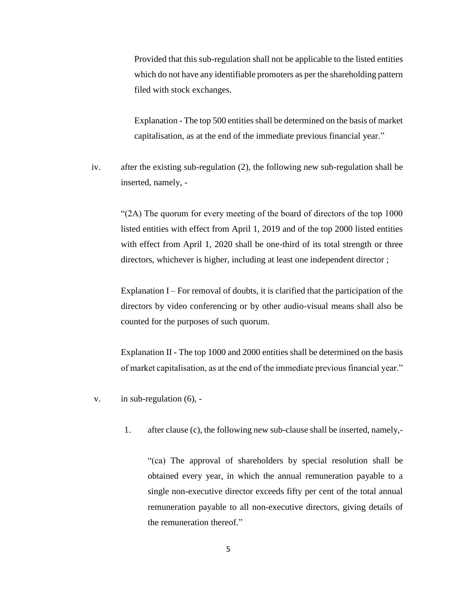Provided that this sub-regulation shall not be applicable to the listed entities which do not have any identifiable promoters as per the shareholding pattern filed with stock exchanges.

Explanation - The top 500 entities shall be determined on the basis of market capitalisation, as at the end of the immediate previous financial year."

iv. after the existing sub-regulation (2), the following new sub-regulation shall be inserted, namely, -

"(2A) The quorum for every meeting of the board of directors of the top 1000 listed entities with effect from April 1, 2019 and of the top 2000 listed entities with effect from April 1, 2020 shall be one-third of its total strength or three directors, whichever is higher, including at least one independent director ;

Explanation I – For removal of doubts, it is clarified that the participation of the directors by video conferencing or by other audio-visual means shall also be counted for the purposes of such quorum.

Explanation II - The top 1000 and 2000 entities shall be determined on the basis of market capitalisation, as at the end of the immediate previous financial year."

- v. in sub-regulation (6),
	- 1. after clause (c), the following new sub-clause shall be inserted, namely,-

"(ca) The approval of shareholders by special resolution shall be obtained every year, in which the annual remuneration payable to a single non-executive director exceeds fifty per cent of the total annual remuneration payable to all non-executive directors, giving details of the remuneration thereof."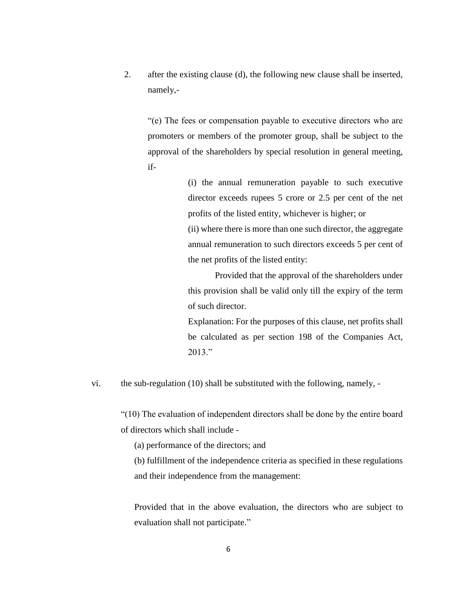2. after the existing clause (d), the following new clause shall be inserted, namely,-

"(e) The fees or compensation payable to executive directors who are promoters or members of the promoter group, shall be subject to the approval of the shareholders by special resolution in general meeting, if-

> (i) the annual remuneration payable to such executive director exceeds rupees 5 crore or 2.5 per cent of the net profits of the listed entity, whichever is higher; or (ii) where there is more than one such director, the aggregate

> annual remuneration to such directors exceeds 5 per cent of the net profits of the listed entity:

> Provided that the approval of the shareholders under this provision shall be valid only till the expiry of the term of such director.

> Explanation: For the purposes of this clause, net profits shall be calculated as per section 198 of the Companies Act, 2013."

vi. the sub-regulation (10) shall be substituted with the following, namely, -

"(10) The evaluation of independent directors shall be done by the entire board of directors which shall include -

(a) performance of the directors; and

(b) fulfillment of the independence criteria as specified in these regulations and their independence from the management:

Provided that in the above evaluation, the directors who are subject to evaluation shall not participate."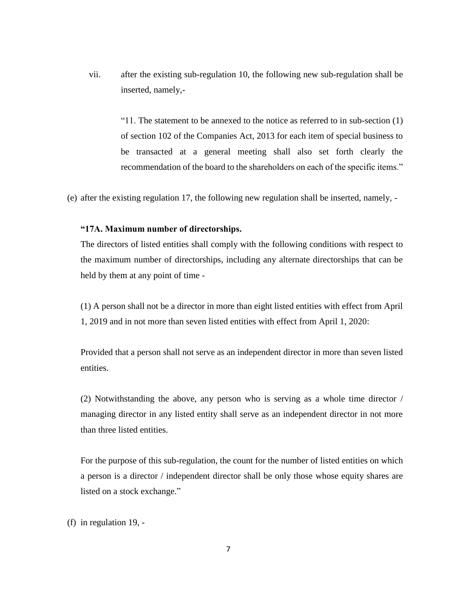vii. after the existing sub-regulation 10, the following new sub-regulation shall be inserted, namely,-

> "11. The statement to be annexed to the notice as referred to in sub-section  $(1)$ of section 102 of the Companies Act, 2013 for each item of special business to be transacted at a general meeting shall also set forth clearly the recommendation of the board to the shareholders on each of the specific items."

(e) after the existing regulation 17, the following new regulation shall be inserted, namely, -

#### **"17A. Maximum number of directorships.**

The directors of listed entities shall comply with the following conditions with respect to the maximum number of directorships, including any alternate directorships that can be held by them at any point of time -

(1) A person shall not be a director in more than eight listed entities with effect from April 1, 2019 and in not more than seven listed entities with effect from April 1, 2020:

Provided that a person shall not serve as an independent director in more than seven listed entities.

(2) Notwithstanding the above, any person who is serving as a whole time director / managing director in any listed entity shall serve as an independent director in not more than three listed entities.

For the purpose of this sub-regulation, the count for the number of listed entities on which a person is a director / independent director shall be only those whose equity shares are listed on a stock exchange."

(f) in regulation 19, -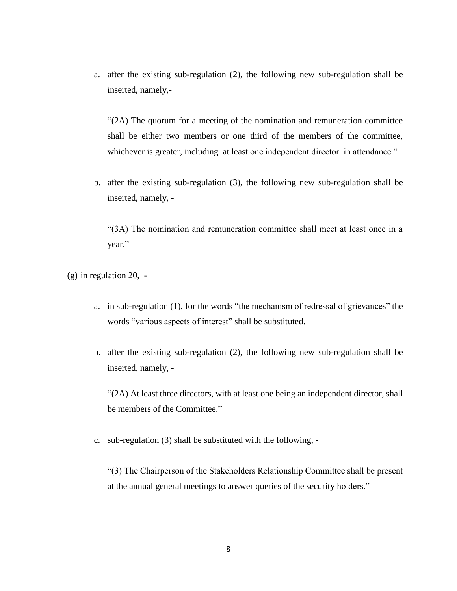a. after the existing sub-regulation (2), the following new sub-regulation shall be inserted, namely,-

"(2A) The quorum for a meeting of the nomination and remuneration committee shall be either two members or one third of the members of the committee, whichever is greater, including at least one independent director in attendance."

b. after the existing sub-regulation (3), the following new sub-regulation shall be inserted, namely, -

"(3A) The nomination and remuneration committee shall meet at least once in a year."

(g) in regulation 20, -

- a. in sub-regulation (1), for the words "the mechanism of redressal of grievances" the words "various aspects of interest" shall be substituted.
- b. after the existing sub-regulation (2), the following new sub-regulation shall be inserted, namely, -

"(2A) At least three directors, with at least one being an independent director, shall be members of the Committee."

c. sub-regulation (3) shall be substituted with the following, -

"(3) The Chairperson of the Stakeholders Relationship Committee shall be present at the annual general meetings to answer queries of the security holders."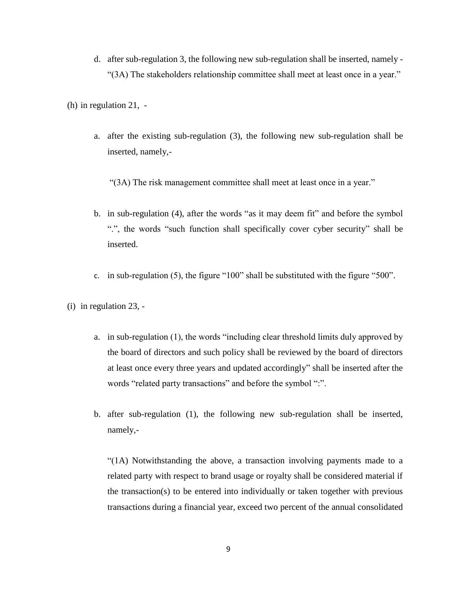d. after sub-regulation 3, the following new sub-regulation shall be inserted, namely - "(3A) The stakeholders relationship committee shall meet at least once in a year."

(h) in regulation 21, -

a. after the existing sub-regulation (3), the following new sub-regulation shall be inserted, namely,-

"(3A) The risk management committee shall meet at least once in a year."

- b. in sub-regulation (4), after the words "as it may deem fit" and before the symbol ".", the words "such function shall specifically cover cyber security" shall be inserted.
- c. in sub-regulation (5), the figure "100" shall be substituted with the figure "500".
- (i) in regulation 23,
	- a. in sub-regulation (1), the words "including clear threshold limits duly approved by the board of directors and such policy shall be reviewed by the board of directors at least once every three years and updated accordingly" shall be inserted after the words "related party transactions" and before the symbol ":".
	- b. after sub-regulation (1), the following new sub-regulation shall be inserted, namely,-

"(1A) Notwithstanding the above, a transaction involving payments made to a related party with respect to brand usage or royalty shall be considered material if the transaction(s) to be entered into individually or taken together with previous transactions during a financial year, exceed two percent of the annual consolidated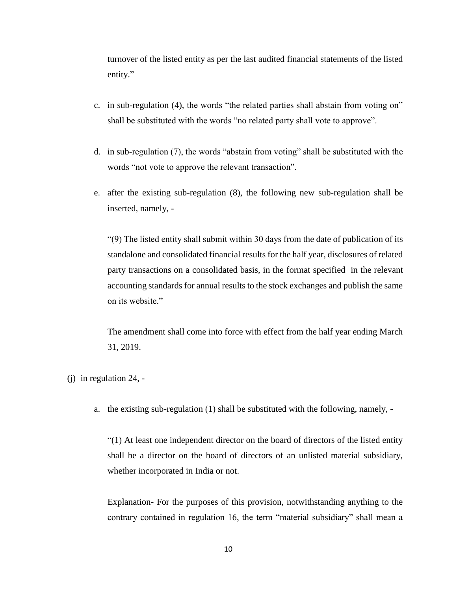turnover of the listed entity as per the last audited financial statements of the listed entity."

- c. in sub-regulation (4), the words "the related parties shall abstain from voting on" shall be substituted with the words "no related party shall vote to approve".
- d. in sub-regulation (7), the words "abstain from voting" shall be substituted with the words "not vote to approve the relevant transaction".
- e. after the existing sub-regulation (8), the following new sub-regulation shall be inserted, namely, -

"(9) The listed entity shall submit within 30 days from the date of publication of its standalone and consolidated financial results for the half year, disclosures of related party transactions on a consolidated basis, in the format specified in the relevant accounting standards for annual results to the stock exchanges and publish the same on its website."

The amendment shall come into force with effect from the half year ending March 31, 2019.

- (j) in regulation 24,
	- a. the existing sub-regulation (1) shall be substituted with the following, namely, -

"(1) At least one independent director on the board of directors of the listed entity shall be a director on the board of directors of an unlisted material subsidiary, whether incorporated in India or not.

Explanation- For the purposes of this provision, notwithstanding anything to the contrary contained in regulation 16, the term "material subsidiary" shall mean a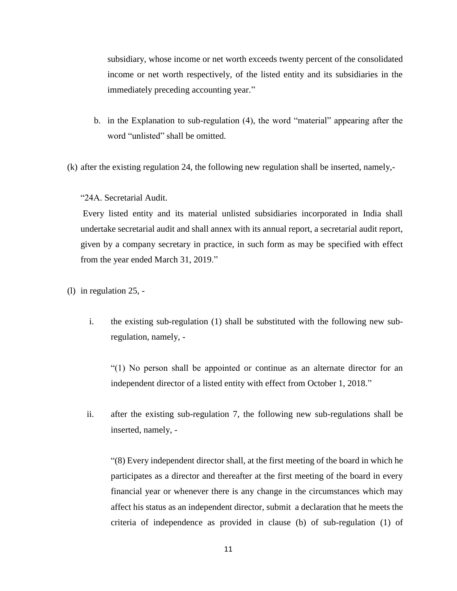subsidiary, whose income or net worth exceeds twenty percent of the consolidated income or net worth respectively, of the listed entity and its subsidiaries in the immediately preceding accounting year."

b. in the Explanation to sub-regulation (4), the word "material" appearing after the word "unlisted" shall be omitted.

(k) after the existing regulation 24, the following new regulation shall be inserted, namely,-

"24A. Secretarial Audit.

Every listed entity and its material unlisted subsidiaries incorporated in India shall undertake secretarial audit and shall annex with its annual report, a secretarial audit report, given by a company secretary in practice, in such form as may be specified with effect from the year ended March 31, 2019."

- (l) in regulation 25,
	- i. the existing sub-regulation (1) shall be substituted with the following new subregulation, namely, -

"(1) No person shall be appointed or continue as an alternate director for an independent director of a listed entity with effect from October 1, 2018."

ii. after the existing sub-regulation 7, the following new sub-regulations shall be inserted, namely, -

"(8) Every independent director shall, at the first meeting of the board in which he participates as a director and thereafter at the first meeting of the board in every financial year or whenever there is any change in the circumstances which may affect his status as an independent director, submit a declaration that he meets the criteria of independence as provided in clause (b) of sub-regulation (1) of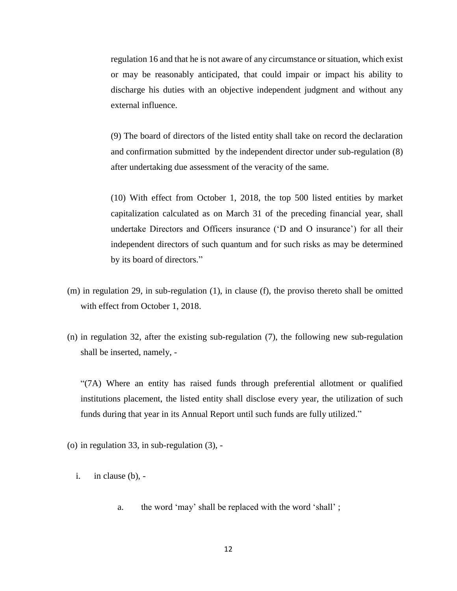regulation 16 and that he is not aware of any circumstance or situation, which exist or may be reasonably anticipated, that could impair or impact his ability to discharge his duties with an objective independent judgment and without any external influence.

(9) The board of directors of the listed entity shall take on record the declaration and confirmation submitted by the independent director under sub-regulation (8) after undertaking due assessment of the veracity of the same.

(10) With effect from October 1, 2018, the top 500 listed entities by market capitalization calculated as on March 31 of the preceding financial year, shall undertake Directors and Officers insurance ('D and O insurance') for all their independent directors of such quantum and for such risks as may be determined by its board of directors."

- (m) in regulation 29, in sub-regulation (1), in clause (f), the proviso thereto shall be omitted with effect from October 1, 2018.
- (n) in regulation 32, after the existing sub-regulation (7), the following new sub-regulation shall be inserted, namely, -

"(7A) Where an entity has raised funds through preferential allotment or qualified institutions placement, the listed entity shall disclose every year, the utilization of such funds during that year in its Annual Report until such funds are fully utilized."

- (o) in regulation 33, in sub-regulation (3),
	- i. in clause (b),
		- a. the word 'may' shall be replaced with the word 'shall' ;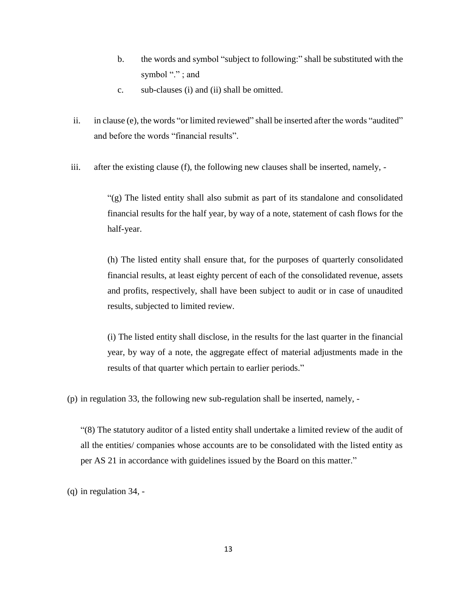- b. the words and symbol "subject to following:" shall be substituted with the symbol "."; and
- c. sub-clauses (i) and (ii) shall be omitted.
- ii. in clause (e), the words "or limited reviewed" shall be inserted after the words "audited" and before the words "financial results".
- iii. after the existing clause (f), the following new clauses shall be inserted, namely, -

"(g) The listed entity shall also submit as part of its standalone and consolidated financial results for the half year, by way of a note, statement of cash flows for the half-year.

(h) The listed entity shall ensure that, for the purposes of quarterly consolidated financial results, at least eighty percent of each of the consolidated revenue, assets and profits, respectively, shall have been subject to audit or in case of unaudited results, subjected to limited review.

(i) The listed entity shall disclose, in the results for the last quarter in the financial year, by way of a note, the aggregate effect of material adjustments made in the results of that quarter which pertain to earlier periods."

(p) in regulation 33, the following new sub-regulation shall be inserted, namely, -

"(8) The statutory auditor of a listed entity shall undertake a limited review of the audit of all the entities/ companies whose accounts are to be consolidated with the listed entity as per AS 21 in accordance with guidelines issued by the Board on this matter."

(q) in regulation 34, -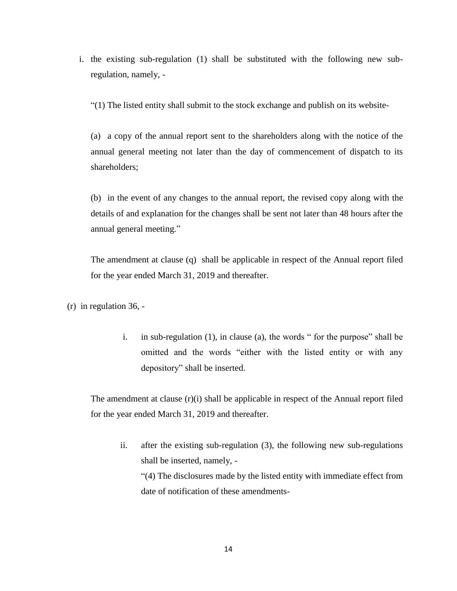i. the existing sub-regulation (1) shall be substituted with the following new subregulation, namely, -

"(1) The listed entity shall submit to the stock exchange and publish on its website-

(a) a copy of the annual report sent to the shareholders along with the notice of the annual general meeting not later than the day of commencement of dispatch to its shareholders;

(b) in the event of any changes to the annual report, the revised copy along with the details of and explanation for the changes shall be sent not later than 48 hours after the annual general meeting."

The amendment at clause (q) shall be applicable in respect of the Annual report filed for the year ended March 31, 2019 and thereafter.

(r) in regulation 36, -

i. in sub-regulation (1), in clause (a), the words " for the purpose" shall be omitted and the words "either with the listed entity or with any depository" shall be inserted.

The amendment at clause  $(r)(i)$  shall be applicable in respect of the Annual report filed for the year ended March 31, 2019 and thereafter.

ii. after the existing sub-regulation (3), the following new sub-regulations shall be inserted, namely, - "(4) The disclosures made by the listed entity with immediate effect from date of notification of these amendments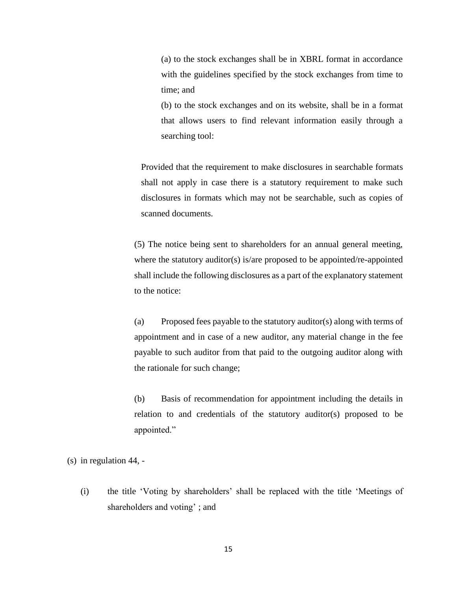(a) to the stock exchanges shall be in XBRL format in accordance with the guidelines specified by the stock exchanges from time to time; and

(b) to the stock exchanges and on its website, shall be in a format that allows users to find relevant information easily through a searching tool:

Provided that the requirement to make disclosures in searchable formats shall not apply in case there is a statutory requirement to make such disclosures in formats which may not be searchable, such as copies of scanned documents.

(5) The notice being sent to shareholders for an annual general meeting, where the statutory auditor(s) is/are proposed to be appointed/re-appointed shall include the following disclosures as a part of the explanatory statement to the notice:

(a) Proposed fees payable to the statutory auditor(s) along with terms of appointment and in case of a new auditor, any material change in the fee payable to such auditor from that paid to the outgoing auditor along with the rationale for such change;

(b) Basis of recommendation for appointment including the details in relation to and credentials of the statutory auditor(s) proposed to be appointed."

(s) in regulation 44, -

(i) the title 'Voting by shareholders' shall be replaced with the title 'Meetings of shareholders and voting' ; and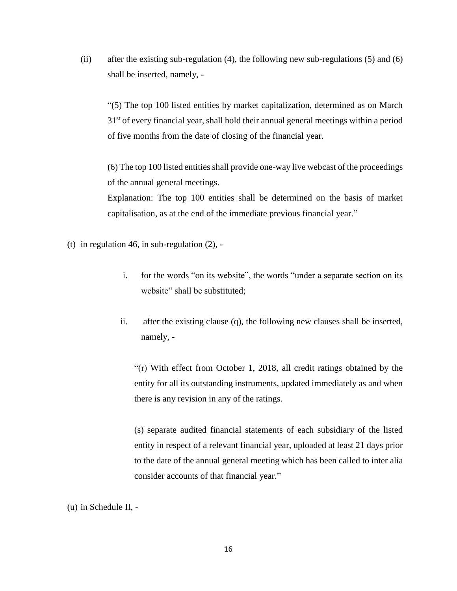(ii) after the existing sub-regulation (4), the following new sub-regulations (5) and (6) shall be inserted, namely, -

"(5) The top 100 listed entities by market capitalization, determined as on March 31<sup>st</sup> of every financial year, shall hold their annual general meetings within a period of five months from the date of closing of the financial year.

(6) The top 100 listed entities shall provide one-way live webcast of the proceedings of the annual general meetings.

Explanation: The top 100 entities shall be determined on the basis of market capitalisation, as at the end of the immediate previous financial year."

- (t) in regulation 46, in sub-regulation  $(2)$ ,
	- i. for the words "on its website", the words "under a separate section on its website" shall be substituted;
	- ii. after the existing clause (q), the following new clauses shall be inserted, namely, -

"(r) With effect from October 1, 2018, all credit ratings obtained by the entity for all its outstanding instruments, updated immediately as and when there is any revision in any of the ratings.

(s) separate audited financial statements of each subsidiary of the listed entity in respect of a relevant financial year, uploaded at least 21 days prior to the date of the annual general meeting which has been called to inter alia consider accounts of that financial year."

<sup>(</sup>u) in Schedule II, -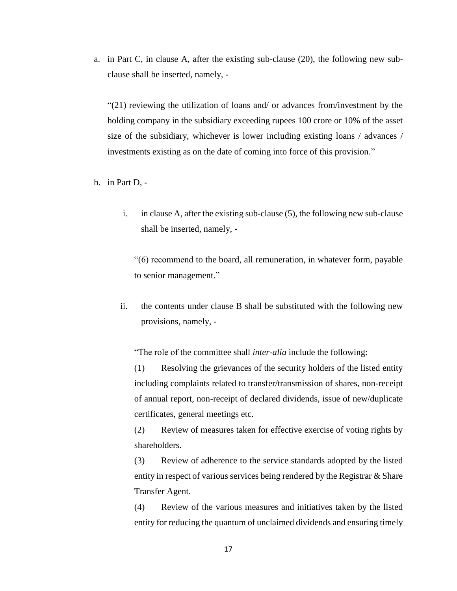a. in Part C, in clause A, after the existing sub-clause (20), the following new subclause shall be inserted, namely, -

"(21) reviewing the utilization of loans and/ or advances from/investment by the holding company in the subsidiary exceeding rupees 100 crore or 10% of the asset size of the subsidiary, whichever is lower including existing loans / advances / investments existing as on the date of coming into force of this provision."

b. in Part D, -

i. in clause A, after the existing sub-clause (5), the following new sub-clause shall be inserted, namely, -

"(6) recommend to the board, all remuneration, in whatever form, payable to senior management."

ii. the contents under clause B shall be substituted with the following new provisions, namely, -

"The role of the committee shall *inter-alia* include the following:

(1) Resolving the grievances of the security holders of the listed entity including complaints related to transfer/transmission of shares, non-receipt of annual report, non-receipt of declared dividends, issue of new/duplicate certificates, general meetings etc.

(2) Review of measures taken for effective exercise of voting rights by shareholders.

(3) Review of adherence to the service standards adopted by the listed entity in respect of various services being rendered by the Registrar & Share Transfer Agent.

(4) Review of the various measures and initiatives taken by the listed entity for reducing the quantum of unclaimed dividends and ensuring timely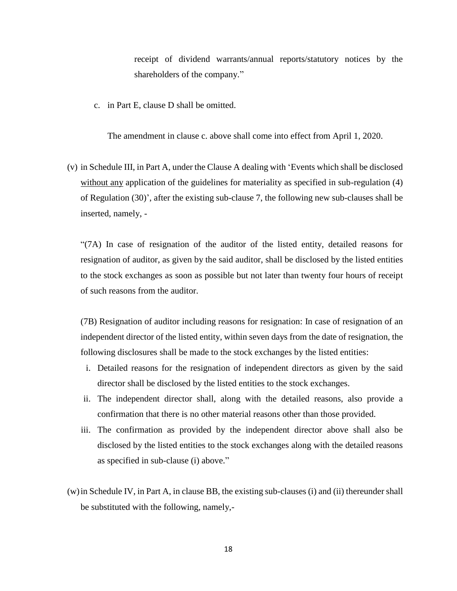receipt of dividend warrants/annual reports/statutory notices by the shareholders of the company."

c. in Part E, clause D shall be omitted.

The amendment in clause c. above shall come into effect from April 1, 2020.

(v) in Schedule III, in Part A, under the Clause A dealing with 'Events which shall be disclosed without any application of the guidelines for materiality as specified in sub-regulation (4) of Regulation (30)', after the existing sub-clause 7, the following new sub-clauses shall be inserted, namely, -

"(7A) In case of resignation of the auditor of the listed entity, detailed reasons for resignation of auditor, as given by the said auditor, shall be disclosed by the listed entities to the stock exchanges as soon as possible but not later than twenty four hours of receipt of such reasons from the auditor.

(7B) Resignation of auditor including reasons for resignation: In case of resignation of an independent director of the listed entity, within seven days from the date of resignation, the following disclosures shall be made to the stock exchanges by the listed entities:

- i. Detailed reasons for the resignation of independent directors as given by the said director shall be disclosed by the listed entities to the stock exchanges.
- ii. The independent director shall, along with the detailed reasons, also provide a confirmation that there is no other material reasons other than those provided.
- iii. The confirmation as provided by the independent director above shall also be disclosed by the listed entities to the stock exchanges along with the detailed reasons as specified in sub-clause (i) above."
- (w)in Schedule IV, in Part A, in clause BB, the existing sub-clauses (i) and (ii) thereunder shall be substituted with the following, namely,-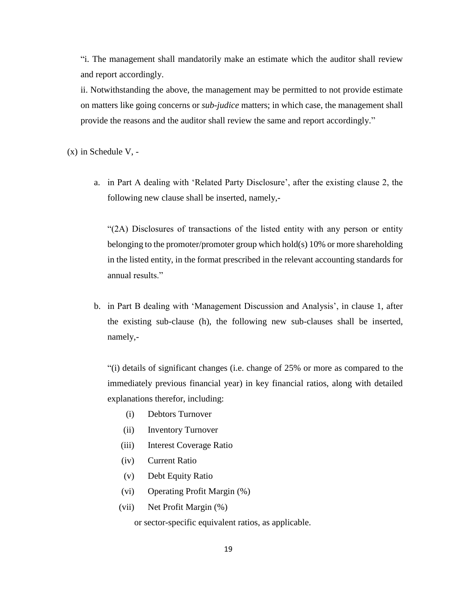"i. The management shall mandatorily make an estimate which the auditor shall review and report accordingly.

ii. Notwithstanding the above, the management may be permitted to not provide estimate on matters like going concerns or *sub-judice* matters; in which case, the management shall provide the reasons and the auditor shall review the same and report accordingly."

(x) in Schedule V, -

a. in Part A dealing with 'Related Party Disclosure', after the existing clause 2, the following new clause shall be inserted, namely,-

"(2A) Disclosures of transactions of the listed entity with any person or entity belonging to the promoter/promoter group which hold(s) 10% or more shareholding in the listed entity, in the format prescribed in the relevant accounting standards for annual results."

b. in Part B dealing with 'Management Discussion and Analysis', in clause 1, after the existing sub-clause (h), the following new sub-clauses shall be inserted, namely,-

"(i) details of significant changes (i.e. change of 25% or more as compared to the immediately previous financial year) in key financial ratios, along with detailed explanations therefor, including:

- (i) Debtors Turnover
- (ii) Inventory Turnover
- (iii) Interest Coverage Ratio
- (iv) Current Ratio
- (v) Debt Equity Ratio
- (vi) Operating Profit Margin (%)
- (vii) Net Profit Margin (%)

or sector-specific equivalent ratios, as applicable.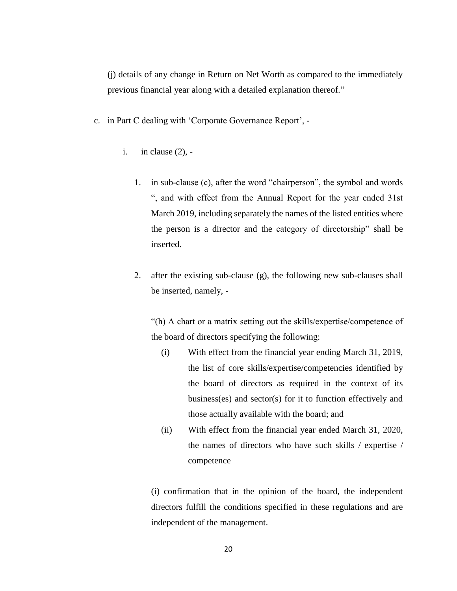(j) details of any change in Return on Net Worth as compared to the immediately previous financial year along with a detailed explanation thereof."

- c. in Part C dealing with 'Corporate Governance Report',
	- i. in clause (2),
		- 1. in sub-clause (c), after the word "chairperson", the symbol and words ", and with effect from the Annual Report for the year ended 31st March 2019, including separately the names of the listed entities where the person is a director and the category of directorship" shall be inserted.
		- 2. after the existing sub-clause (g), the following new sub-clauses shall be inserted, namely, -

"(h) A chart or a matrix setting out the skills/expertise/competence of the board of directors specifying the following:

- (i) With effect from the financial year ending March 31, 2019, the list of core skills/expertise/competencies identified by the board of directors as required in the context of its business(es) and sector(s) for it to function effectively and those actually available with the board; and
- (ii) With effect from the financial year ended March 31, 2020, the names of directors who have such skills / expertise / competence

(i) confirmation that in the opinion of the board, the independent directors fulfill the conditions specified in these regulations and are independent of the management.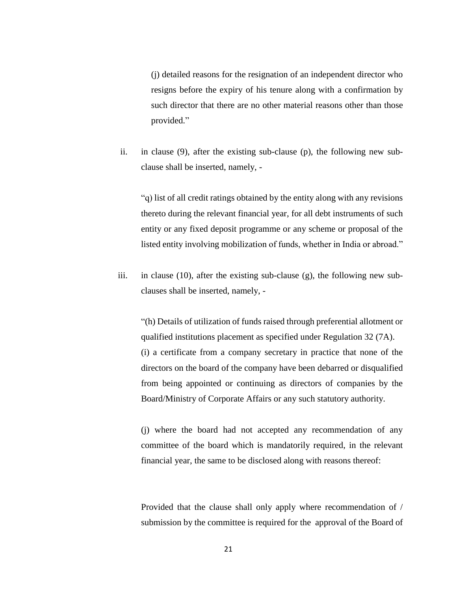(j) detailed reasons for the resignation of an independent director who resigns before the expiry of his tenure along with a confirmation by such director that there are no other material reasons other than those provided."

ii. in clause (9), after the existing sub-clause (p), the following new subclause shall be inserted, namely, -

"q) list of all credit ratings obtained by the entity along with any revisions thereto during the relevant financial year, for all debt instruments of such entity or any fixed deposit programme or any scheme or proposal of the listed entity involving mobilization of funds, whether in India or abroad."

iii. in clause (10), after the existing sub-clause (g), the following new subclauses shall be inserted, namely, -

"(h) Details of utilization of funds raised through preferential allotment or qualified institutions placement as specified under Regulation 32 (7A). (i) a certificate from a company secretary in practice that none of the directors on the board of the company have been debarred or disqualified from being appointed or continuing as directors of companies by the Board/Ministry of Corporate Affairs or any such statutory authority.

(j) where the board had not accepted any recommendation of any committee of the board which is mandatorily required, in the relevant financial year, the same to be disclosed along with reasons thereof:

Provided that the clause shall only apply where recommendation of / submission by the committee is required for the approval of the Board of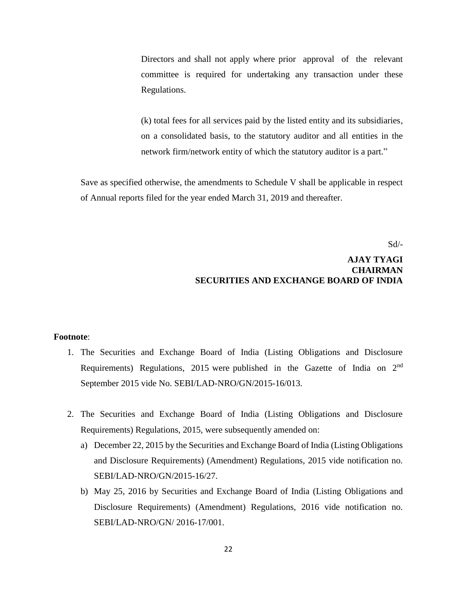Directors and shall not apply where prior approval of the relevant committee is required for undertaking any transaction under these Regulations.

(k) total fees for all services paid by the listed entity and its subsidiaries, on a consolidated basis, to the statutory auditor and all entities in the network firm/network entity of which the statutory auditor is a part."

Save as specified otherwise, the amendments to Schedule V shall be applicable in respect of Annual reports filed for the year ended March 31, 2019 and thereafter.

Sd/-

## **AJAY TYAGI CHAIRMAN SECURITIES AND EXCHANGE BOARD OF INDIA**

### **Footnote**:

- 1. The Securities and Exchange Board of India (Listing Obligations and Disclosure Requirements) Regulations, 2015 were published in the Gazette of India on  $2<sup>nd</sup>$ September 2015 vide No. SEBI/LAD-NRO/GN/2015-16/013.
- 2. The Securities and Exchange Board of India (Listing Obligations and Disclosure Requirements) Regulations, 2015, were subsequently amended on:
	- a) December 22, 2015 by the Securities and Exchange Board of India (Listing Obligations and Disclosure Requirements) (Amendment) Regulations, 2015 vide notification no. SEBI/LAD-NRO/GN/2015-16/27.
	- b) May 25, 2016 by Securities and Exchange Board of India (Listing Obligations and Disclosure Requirements) (Amendment) Regulations, 2016 vide notification no. SEBI/LAD-NRO/GN/ 2016-17/001.